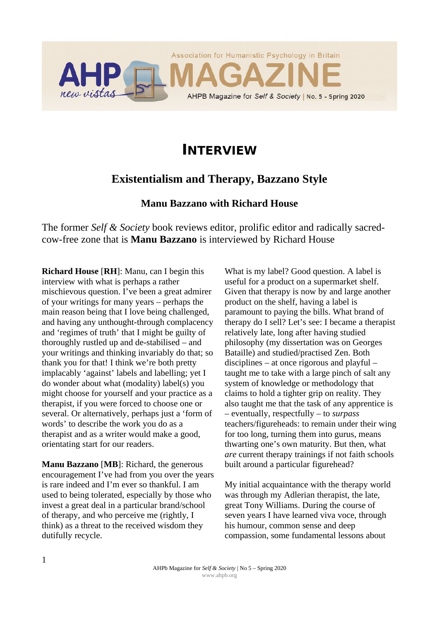

# **INTERVIEW**

## **Existentialism and Therapy, Bazzano Style**

#### **Manu Bazzano with Richard House**

The former *Self & Society* book reviews editor, prolific editor and radically sacredcow-free zone that is **Manu Bazzano** is interviewed by Richard House

**Richard House** [**RH**]: Manu, can I begin this interview with what is perhaps a rather mischievous question. I've been a great admirer of your writings for many years – perhaps the main reason being that I love being challenged, and having any unthought-through complacency and 'regimes of truth' that I might be guilty of thoroughly rustled up and de-stabilised – and your writings and thinking invariably do that; so thank you for that! I think we're both pretty implacably 'against' labels and labelling; yet I do wonder about what (modality) label(s) you might choose for yourself and your practice as a therapist, if you were forced to choose one or several. Or alternatively, perhaps just a 'form of words' to describe the work you do as a therapist and as a writer would make a good, orientating start for our readers.

**Manu Bazzano** [**MB**]: Richard, the generous encouragement I've had from you over the years is rare indeed and I'm ever so thankful. I am used to being tolerated, especially by those who invest a great deal in a particular brand/school of therapy, and who perceive me (rightly, I think) as a threat to the received wisdom they dutifully recycle.

What is my label? Good question. A label is useful for a product on a supermarket shelf. Given that therapy is now by and large another product on the shelf, having a label is paramount to paying the bills. What brand of therapy do I sell? Let's see: I became a therapist relatively late, long after having studied philosophy (my dissertation was on Georges Bataille) and studied/practised Zen. Both disciplines – at once rigorous and playful – taught me to take with a large pinch of salt any system of knowledge or methodology that claims to hold a tighter grip on reality. They also taught me that the task of any apprentice is – eventually, respectfully – to *surpass* teachers/figureheads: to remain under their wing for too long, turning them into gurus, means thwarting one's own maturity. But then, what *are* current therapy trainings if not faith schools built around a particular figurehead?

My initial acquaintance with the therapy world was through my Adlerian therapist, the late, great Tony Williams. During the course of seven years I have learned viva voce, through his humour, common sense and deep compassion, some fundamental lessons about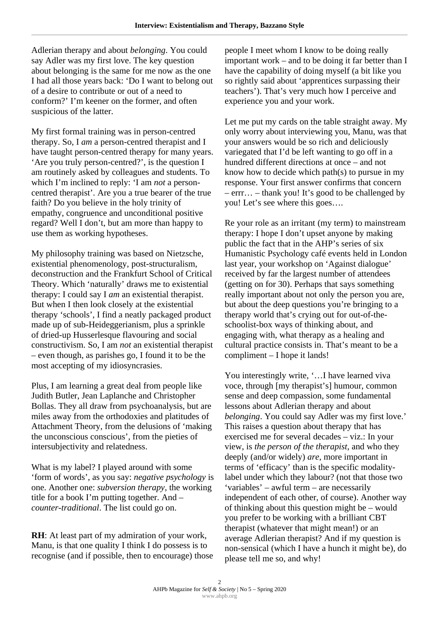Adlerian therapy and about *belonging*. You could say Adler was my first love. The key question about belonging is the same for me now as the one I had all those years back: 'Do I want to belong out of a desire to contribute or out of a need to conform?' I'm keener on the former, and often suspicious of the latter.

My first formal training was in person-centred therapy. So, I *am* a person-centred therapist and I have taught person-centred therapy for many years. 'Are you truly person-centred?', is the question I am routinely asked by colleagues and students. To which I'm inclined to reply: 'I am *not* a personcentred therapist'. Are you a true bearer of the true faith? Do you believe in the holy trinity of empathy, congruence and unconditional positive regard? Well I don't, but am more than happy to use them as working hypotheses.

My philosophy training was based on Nietzsche, existential phenomenology, post-structuralism, deconstruction and the Frankfurt School of Critical Theory. Which 'naturally' draws me to existential therapy: I could say I *am* an existential therapist. But when I then look closely at the existential therapy 'schools', I find a neatly packaged product made up of sub-Heideggerianism, plus a sprinkle of dried-up Husserlesque flavouring and social constructivism. So, I am *not* an existential therapist – even though, as parishes go, I found it to be the most accepting of my idiosyncrasies.

Plus, I am learning a great deal from people like Judith Butler, Jean Laplanche and Christopher Bollas. They all draw from psychoanalysis, but are miles away from the orthodoxies and platitudes of Attachment Theory, from the delusions of 'making the unconscious conscious', from the pieties of intersubjectivity and relatedness.

What is my label? I played around with some 'form of words', as you say: *negative psychology* is one. Another one: *subversion therapy*, the working title for a book I'm putting together. And – *counter-traditional*. The list could go on.

**RH**: At least part of my admiration of your work, Manu, is that one quality I think I do possess is to recognise (and if possible, then to encourage) those people I meet whom I know to be doing really important work – and to be doing it far better than I have the capability of doing myself (a bit like you so rightly said about 'apprentices surpassing their teachers'). That's very much how I perceive and experience you and your work.

Let me put my cards on the table straight away. My only worry about interviewing you, Manu, was that your answers would be so rich and deliciously variegated that I'd be left wanting to go off in a hundred different directions at once – and not know how to decide which path(s) to pursue in my response. Your first answer confirms that concern – errr… – thank you! It's good to be challenged by you! Let's see where this goes….

Re your role as an irritant (my term) to mainstream therapy: I hope I don't upset anyone by making public the fact that in the AHP's series of six Humanistic Psychology café events held in London last year, your workshop on 'Against dialogue' received by far the largest number of attendees (getting on for 30). Perhaps that says something really important about not only the person you are, but about the deep questions you're bringing to a therapy world that's crying out for out-of-theschoolist-box ways of thinking about, and engaging with, what therapy as a healing and cultural practice consists in. That's meant to be a compliment – I hope it lands!

You interestingly write, '…I have learned viva voce, through [my therapist's] humour, common sense and deep compassion, some fundamental lessons about Adlerian therapy and about *belonging*. You could say Adler was my first love.' This raises a question about therapy that has exercised me for several decades – viz.: In your view, is *the person of the therapist*, and who they deeply (and/or widely) *are*, more important in terms of 'efficacy' than is the specific modalitylabel under which they labour? (not that those two 'variables' – awful term – are necessarily independent of each other, of course). Another way of thinking about this question might be – would you prefer to be working with a brilliant CBT therapist (whatever that might mean!) or an average Adlerian therapist? And if my question is non-sensical (which I have a hunch it might be), do please tell me so, and why!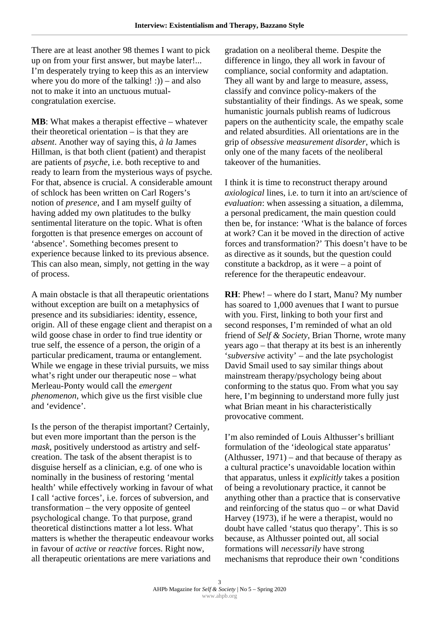There are at least another 98 themes I want to pick up on from your first answer, but maybe later!... I'm desperately trying to keep this as an interview where you do more of the talking!  $:$   $)$  – and also not to make it into an unctuous mutualcongratulation exercise.

**MB**: What makes a therapist effective – whatever their theoretical orientation – is that they are *absent*. Another way of saying this, *à la* James Hillman, is that both client (patient) and therapist are patients of *psyche*, i.e. both receptive to and ready to learn from the mysterious ways of psyche*.* For that, absence is crucial. A considerable amount of schlock has been written on Carl Rogers's notion of *presence*, and I am myself guilty of having added my own platitudes to the bulky sentimental literature on the topic. What is often forgotten is that presence emerges on account of 'absence'. Something becomes present to experience because linked to its previous absence. This can also mean, simply, not getting in the way of process.

A main obstacle is that all therapeutic orientations without exception are built on a metaphysics of presence and its subsidiaries: identity, essence, origin. All of these engage client and therapist on a wild goose chase in order to find true identity or true self, the essence of a person, the origin of a particular predicament, trauma or entanglement. While we engage in these trivial pursuits, we miss what's right under our therapeutic nose – what Merleau-Ponty would call the *emergent phenomenon*, which give us the first visible clue and 'evidence'.

Is the person of the therapist important? Certainly, but even more important than the person is the *mask*, positively understood as artistry and selfcreation. The task of the absent therapist is to disguise herself as a clinician, e.g. of one who is nominally in the business of restoring 'mental health' while effectively working in favour of what I call 'active forces', i.e. forces of subversion, and transformation – the very opposite of genteel psychological change. To that purpose, grand theoretical distinctions matter a lot less. What matters is whether the therapeutic endeavour works in favour of *active* or *reactive* forces. Right now, all therapeutic orientations are mere variations and

gradation on a neoliberal theme. Despite the difference in lingo, they all work in favour of compliance, social conformity and adaptation. They all want by and large to measure, assess, classify and convince policy-makers of the substantiality of their findings. As we speak, some humanistic journals publish reams of ludicrous papers on the authenticity scale, the empathy scale and related absurdities. All orientations are in the grip of *obsessive measurement disorder*, which is only one of the many facets of the neoliberal takeover of the humanities.

I think it is time to reconstruct therapy around *axiological* lines, i.e. to turn it into an art/science of *evaluation*: when assessing a situation, a dilemma, a personal predicament, the main question could then be, for instance: 'What is the balance of forces at work? Can it be moved in the direction of active forces and transformation?' This doesn't have to be as directive as it sounds, but the question could constitute a backdrop, as it were – a point of reference for the therapeutic endeavour.

**RH**: Phew! – where do I start, Manu? My number has soared to 1,000 avenues that I want to pursue with you. First, linking to both your first and second responses, I'm reminded of what an old friend of *Self & Society*, Brian Thorne, wrote many years ago – that therapy at its best is an inherently '*subversive* activity' – and the late psychologist David Smail used to say similar things about mainstream therapy/psychology being about conforming to the status quo. From what you say here, I'm beginning to understand more fully just what Brian meant in his characteristically provocative comment.

I'm also reminded of Louis Althusser's brilliant formulation of the 'ideological state apparatus' (Althusser, 1971) – and that because of therapy as a cultural practice's unavoidable location within that apparatus, unless it *explicitly* takes a position of being a revolutionary practice, it cannot be anything other than a practice that is conservative and reinforcing of the status quo – or what David Harvey (1973), if he were a therapist, would no doubt have called 'status quo therapy'. This is so because, as Althusser pointed out, all social formations will *necessarily* have strong mechanisms that reproduce their own 'conditions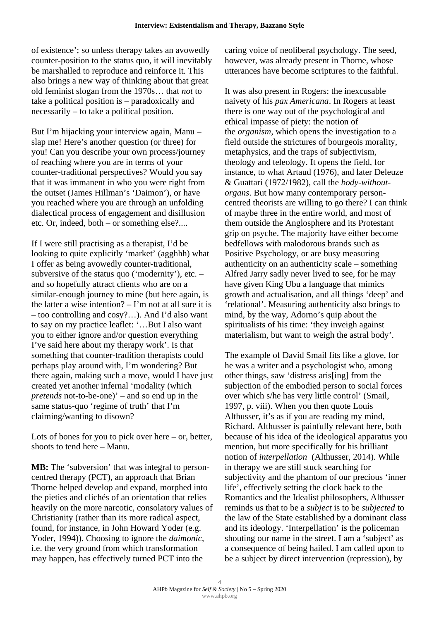of existence'; so unless therapy takes an avowedly counter-position to the status quo, it will inevitably be marshalled to reproduce and reinforce it. This also brings a new way of thinking about that great old feminist slogan from the 1970s… that *not* to take a political position is – paradoxically and necessarily – to take a political position.

But I'm hijacking your interview again, Manu – slap me! Here's another question (or three) for you! Can you describe your own process/journey of reaching where you are in terms of your counter-traditional perspectives? Would you say that it was immanent in who you were right from the outset (James Hillman's 'Daimon'), or have you reached where you are through an unfolding dialectical process of engagement and disillusion etc. Or, indeed, both – or something else?....

If I were still practising as a therapist, I'd be looking to quite explicitly 'market' (agghhh) what I offer as being avowedly counter-traditional, subversive of the status quo ('modernity'), etc. – and so hopefully attract clients who are on a similar-enough journey to mine (but here again, is the latter a wise intention?  $-$  I'm not at all sure it is – too controlling and cosy?…). And I'd also want to say on my practice leaflet: '…But I also want you to either ignore and/or question everything I've said here about my therapy work'. Is that something that counter-tradition therapists could perhaps play around with, I'm wondering? But there again, making such a move, would I have just created yet another infernal 'modality (which *pretends* not-to-be-one)' – and so end up in the same status-quo 'regime of truth' that I'm claiming/wanting to disown?

Lots of bones for you to pick over here – or, better, shoots to tend here – Manu.

**MB:** The 'subversion' that was integral to personcentred therapy (PCT), an approach that Brian Thorne helped develop and expand, morphed into the pieties and clichés of an orientation that relies heavily on the more narcotic, consolatory values of Christianity (rather than its more radical aspect, found, for instance, in John Howard Yoder (e.g. Yoder, 1994)). Choosing to ignore the *daimonic*, i.e. the very ground from which transformation may happen, has effectively turned PCT into the

caring voice of neoliberal psychology. The seed, however, was already present in Thorne, whose utterances have become scriptures to the faithful.

It was also present in Rogers: the inexcusable naivety of his *pax Americana*. In Rogers at least there is one way out of the psychological and ethical impasse of piety: the notion of the *organism*, which opens the investigation to a field outside the strictures of bourgeois morality, metaphysics, and the traps of subjectivism, theology and teleology. It opens the field, for instance, to what Artaud (1976), and later Deleuze & Guattari (1972/1982), call the *body-withoutorgans*. But how many contemporary personcentred theorists are willing to go there? I can think of maybe three in the entire world, and most of them outside the Anglosphere and its Protestant grip on psyche. The majority have either become bedfellows with malodorous brands such as Positive Psychology, or are busy measuring authenticity on an authenticity scale – something Alfred Jarry sadly never lived to see, for he may have given King Ubu a language that mimics growth and actualisation, and all things 'deep' and 'relational'. Measuring authenticity also brings to mind, by the way, Adorno's quip about the spiritualists of his time: 'they inveigh against materialism, but want to weigh the astral body'.

The example of David Smail fits like a glove, for he was a writer and a psychologist who, among other things, saw 'distress aris[ing] from the subjection of the embodied person to social forces over which s/he has very little control' (Smail, 1997, p. viii). When you then quote Louis Althusser, it's as if you are reading my mind, Richard. Althusser is painfully relevant here, both because of his idea of the ideological apparatus you mention, but more specifically for his brilliant notion of *interpellation* (Althusser, 2014). While in therapy we are still stuck searching for subjectivity and the phantom of our precious 'inner life', effectively setting the clock back to the Romantics and the Idealist philosophers, Althusser reminds us that to be a *subject* is to be *subjected* to the law of the State established by a dominant class and its ideology. 'Interpellation' is the policeman shouting our name in the street. I am a 'subject' as a consequence of being hailed. I am called upon to be a subject by direct intervention (repression), by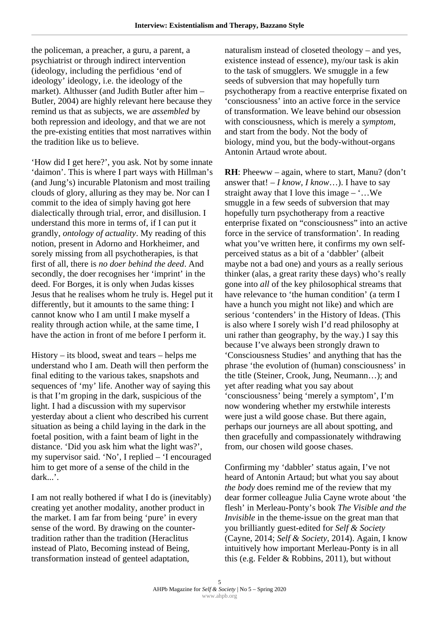the policeman, a preacher, a guru, a parent, a psychiatrist or through indirect intervention (ideology, including the perfidious 'end of ideology' ideology, i.e. the ideology of the market). Althusser (and Judith Butler after him – Butler, 2004) are highly relevant here because they remind us that as subjects, we are *assembled* by both repression and ideology, and that we are not the pre-existing entities that most narratives within the tradition like us to believe.

'How did I get here?', you ask. Not by some innate 'daimon'. This is where I part ways with Hillman's (and Jung's) incurable Platonism and most trailing clouds of glory, alluring as they may be. Nor can I commit to the idea of simply having got here dialectically through trial, error, and disillusion. I understand this more in terms of, if I can put it grandly, *ontology of actuality*. My reading of this notion, present in Adorno and Horkheimer, and sorely missing from all psychotherapies, is that first of all, there is *no doer behind the deed*. And secondly, the doer recognises her 'imprint' in the deed. For Borges, it is only when Judas kisses Jesus that he realises whom he truly is. Hegel put it differently, but it amounts to the same thing: I cannot know who I am until I make myself a reality through action while, at the same time, I have the action in front of me before I perform it.

History – its blood, sweat and tears – helps me understand who I am. Death will then perform the final editing to the various takes, snapshots and sequences of 'my' life. Another way of saying this is that I'm groping in the dark, suspicious of the light. I had a discussion with my supervisor yesterday about a client who described his current situation as being a child laying in the dark in the foetal position, with a faint beam of light in the distance. 'Did you ask him what the light was?', my supervisor said. 'No', I replied – 'I encouraged him to get more of a sense of the child in the dark...'.

I am not really bothered if what I do is (inevitably) creating yet another modality, another product in the market. I am far from being 'pure' in every sense of the word. By drawing on the countertradition rather than the tradition (Heraclitus instead of Plato, Becoming instead of Being, transformation instead of genteel adaptation,

naturalism instead of closeted theology – and yes, existence instead of essence), my/our task is akin to the task of smugglers. We smuggle in a few seeds of subversion that may hopefully turn psychotherapy from a reactive enterprise fixated on 'consciousness' into an active force in the service of transformation. We leave behind our obsession with consciousness, which is merely a *symptom*, and start from the body. Not the body of biology, mind you, but the body-without-organs Antonin Artaud wrote about.

**RH**: Pheeww – again, where to start, Manu? (don't answer that!  $-I$  *know, I know...*). I have to say straight away that I love this image  $\dots$  We smuggle in a few seeds of subversion that may hopefully turn psychotherapy from a reactive enterprise fixated on "consciousness" into an active force in the service of transformation'. In reading what you've written here, it confirms my own selfperceived status as a bit of a 'dabbler' (albeit maybe not a bad one) and yours as a really serious thinker (alas, a great rarity these days) who's really gone into *all* of the key philosophical streams that have relevance to 'the human condition' (a term I have a hunch you might not like) and which are serious 'contenders' in the History of Ideas. (This is also where I sorely wish I'd read philosophy at uni rather than geography, by the way.) I say this because I've always been strongly drawn to 'Consciousness Studies' and anything that has the phrase 'the evolution of (human) consciousness' in the title (Steiner, Crook, Jung, Neumann…); and yet after reading what you say about 'consciousness' being 'merely a symptom', I'm now wondering whether my erstwhile interests were just a wild goose chase. But there again, perhaps our journeys are all about spotting, and then gracefully and compassionately withdrawing from, our chosen wild goose chases.

Confirming my 'dabbler' status again, I've not heard of Antonin Artaud; but what you say about *the body* does remind me of the review that my dear former colleague Julia Cayne wrote about 'the flesh' in Merleau-Ponty's book *The Visible and the Invisible* in the theme-issue on the great man that you brilliantly guest-edited for *Self & Society* (Cayne, 2014; *Self & Society*, 2014). Again, I know intuitively how important Merleau-Ponty is in all this (e.g. Felder & Robbins, 2011), but without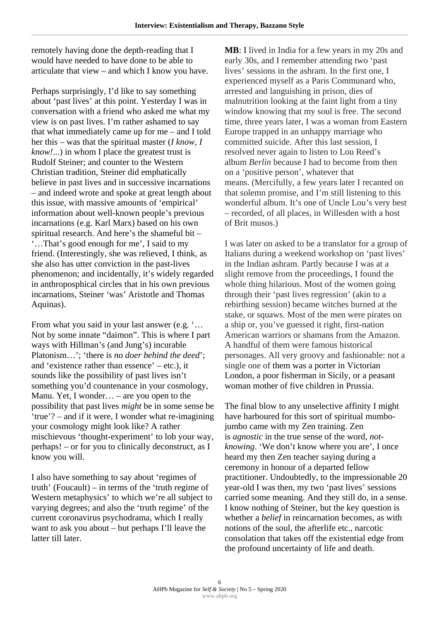remotely having done the depth-reading that I would have needed to have done to be able to articulate that view – and which I know you have.

Perhaps surprisingly, I'd like to say something about 'past lives' at this point. Yesterday I was in conversation with a friend who asked me what my view is on past lives. I'm rather ashamed to say that what immediately came up for me – and I told her this – was that the spiritual master (*I know, I know!*...) in whom I place the greatest trust is Rudolf Steiner; and counter to the Western Christian tradition, Steiner did emphatically believe in past lives and in successive incarnations – and indeed wrote and spoke at great length about this issue, with massive amounts of 'empirical' information about well-known people's previous incarnations (e.g. Karl Marx) based on his own spiritual research. And here's the shameful bit – '…That's good enough for me', I said to my friend. (Interestingly, she was relieved, I think, as she also has utter conviction in the past-lives phenomenon; and incidentally, it's widely regarded in anthroposphical circles that in his own previous incarnations, Steiner 'was' Aristotle and Thomas Aquinas).

From what you said in your last answer (e.g. '… Not by some innate "daimon". This is where I part ways with Hillman's (and Jung's) incurable Platonism…'; 'there is *no doer behind the deed*'; and 'existence rather than essence' – etc.), it sounds like the possibility of past lives isn't something you'd countenance in your cosmology, Manu. Yet, I wonder… – are you open to the possibility that past lives *might* be in some sense be 'true'? – and if it were, I wonder what re-imagining your cosmology might look like? A rather mischievous 'thought-experiment' to lob your way, perhaps! – or for you to clinically deconstruct, as I know you will.

I also have something to say about 'regimes of truth' (Foucault) – in terms of the 'truth regime of Western metaphysics' to which we're all subject to varying degrees; and also the 'truth regime' of the current coronavirus psychodrama, which I really want to ask you about – but perhaps I'll leave the latter till later.

**MB**: I lived in India for a few years in my 20s and early 30s, and I remember attending two 'past lives' sessions in the ashram. In the first one, I experienced myself as a Paris Communard who, arrested and languishing in prison, dies of malnutrition looking at the faint light from a tiny window knowing that my soul is free. The second time, three years later, I was a woman from Eastern Europe trapped in an unhappy marriage who committed suicide. After this last session, I resolved never again to listen to Lou Reed's album *Berlin* because I had to become from then on a 'positive person', whatever that means. (Mercifully, a few years later I recanted on that solemn promise, and I'm still listening to this wonderful album. It's one of Uncle Lou's very best – recorded, of all places, in Willesden with a host of Brit musos.)

I was later on asked to be a translator for a group of Italians during a weekend workshop on 'past lives' in the Indian ashram. Partly because I was at a slight remove from the proceedings, I found the whole thing hilarious. Most of the women going through their 'past lives regression' (akin to a rebirthing session) became witches burned at the stake, or squaws. Most of the men were pirates on a ship or, you've guessed it right, first-nation American warriors or shamans from the Amazon. A handful of them were famous historical personages. All very groovy and fashionable: not a single one of them was a porter in Victorian London, a poor fisherman in Sicily, or a peasant woman mother of five children in Prussia.

The final blow to any unselective affinity I might have harboured for this sort of spiritual mumbojumbo came with my Zen training. Zen is *agnostic* in the true sense of the word, *notknowing*. 'We don't know where you are', I once heard my then Zen teacher saying during a ceremony in honour of a departed fellow practitioner. Undoubtedly, to the impressionable 20 year-old I was then, my two 'past lives' sessions carried some meaning. And they still do, in a sense. I know nothing of Steiner, but the key question is whether a *belief* in reincarnation becomes, as with notions of the soul, the afterlife etc., narcotic consolation that takes off the existential edge from the profound uncertainty of life and death.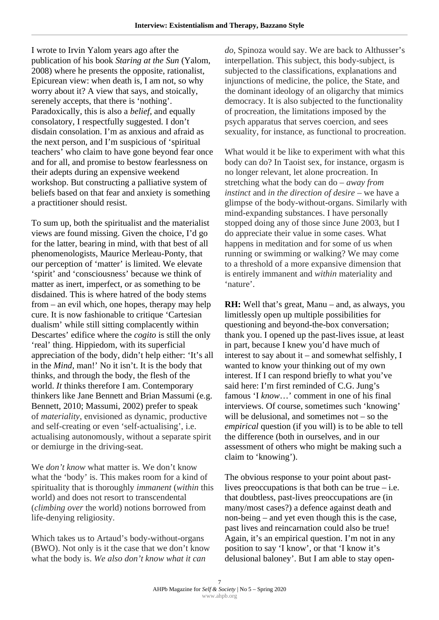I wrote to Irvin Yalom years ago after the publication of his book *Staring at the Sun* (Yalom, 2008) where he presents the opposite, rationalist, Epicurean view: when death is, I am not, so why worry about it? A view that says, and stoically, serenely accepts, that there is 'nothing'. Paradoxically, this is also a *belief*, and equally consolatory, I respectfully suggested. I don't disdain consolation. I'm as anxious and afraid as the next person, and I'm suspicious of 'spiritual teachers' who claim to have gone beyond fear once and for all, and promise to bestow fearlessness on their adepts during an expensive weekend workshop. But constructing a palliative system of beliefs based on that fear and anxiety is something a practitioner should resist.

To sum up, both the spiritualist and the materialist views are found missing. Given the choice, I'd go for the latter, bearing in mind, with that best of all phenomenologists, Maurice Merleau-Ponty, that our perception of 'matter' is limited. We elevate 'spirit' and 'consciousness' because we think of matter as inert, imperfect, or as something to be disdained. This is where hatred of the body stems from – an evil which, one hopes, therapy may help cure. It is now fashionable to critique 'Cartesian dualism' while still sitting complacently within Descartes' edifice where the *cogito* is still the only 'real' thing. Hippiedom, with its superficial appreciation of the body, didn't help either: 'It's all in the *Mind*, man!' No it isn't. It is the body that thinks, and through the body, the flesh of the world. *It* thinks therefore I am. Contemporary thinkers like Jane Bennett and Brian Massumi (e.g. Bennett, 2010; Massumi, 2002) prefer to speak of *materiality*, envisioned as dynamic, productive and self-creating or even 'self-actualising', i.e. actualising autonomously, without a separate spirit or demiurge in the driving-seat.

We *don't know* what matter is. We don't know what the 'body' is. This makes room for a kind of spirituality that is thoroughly *immanent* (*within* this world) and does not resort to transcendental (*climbing over* the world) notions borrowed from life-denying religiosity.

Which takes us to Artaud's body-without-organs (BWO). Not only is it the case that we don't know what the body is. *We also don't know what it can* 

*do*, Spinoza would say. We are back to Althusser's interpellation. This subject, this body-subject, is subjected to the classifications, explanations and injunctions of medicine, the police, the State, and the dominant ideology of an oligarchy that mimics democracy. It is also subjected to the functionality of procreation, the limitations imposed by the psych apparatus that serves coercion, and sees sexuality, for instance, as functional to procreation.

What would it be like to experiment with what this body can do? In Taoist sex, for instance, orgasm is no longer relevant, let alone procreation. In stretching what the body can do – *away from instinct* and *in the direction of desire* – we have a glimpse of the body-without-organs. Similarly with mind-expanding substances. I have personally stopped doing any of those since June 2003, but I do appreciate their value in some cases. What happens in meditation and for some of us when running or swimming or walking? We may come to a threshold of a more expansive dimension that is entirely immanent and *within* materiality and 'nature'.

**RH:** Well that's great, Manu – and, as always, you limitlessly open up multiple possibilities for questioning and beyond-the-box conversation; thank you. I opened up the past-lives issue, at least in part, because I knew you'd have much of interest to say about it – and somewhat selfishly, I wanted to know your thinking out of my own interest. If I can respond briefly to what you've said here: I'm first reminded of C.G. Jung's famous 'I *know*…' comment in one of his final interviews. Of course, sometimes such 'knowing' will be delusional, and sometimes not – so the *empirical* question (if you will) is to be able to tell the difference (both in ourselves, and in our assessment of others who might be making such a claim to 'knowing').

The obvious response to your point about pastlives preoccupations is that both can be true  $-$  i.e. that doubtless, past-lives preoccupations are (in many/most cases?) a defence against death and non-being – and yet even though this is the case, past lives and reincarnation could also be true! Again, it's an empirical question. I'm not in any position to say 'I know', or that 'I know it's delusional baloney'. But I am able to stay open-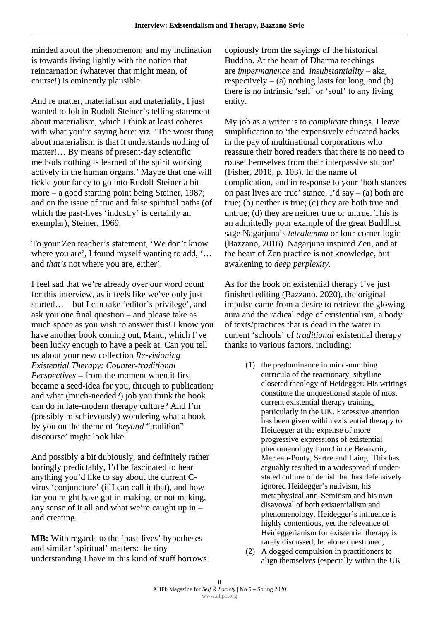minded about the phenomenon; and my inclination is towards living lightly with the notion that reincarnation (whatever that might mean, of course!) is eminently plausible.

And re matter, materialism and materiality, I just wanted to lob in Rudolf Steiner's telling statement about materialism, which I think at least coheres with what you're saying here: viz. 'The worst thing about materialism is that it understands nothing of matter!… By means of present-day scientific methods nothing is learned of the spirit working actively in the human organs.' Maybe that one will tickle your fancy to go into Rudolf Steiner a bit more – a good starting point being Steiner, 1987; and on the issue of true and false spiritual paths (of which the past-lives 'industry' is certainly an exemplar), Steiner, 1969.

To your Zen teacher's statement, 'We don't know where you are', I found myself wanting to add, '… and *that's* not where you are, either'.

I feel sad that we're already over our word count for this interview, as it feels like we've only just started… – but I can take 'editor's privilege', and ask you one final question – and please take as much space as you wish to answer this! I know you have another book coming out, Manu, which I've been lucky enough to have a peek at. Can you tell us about your new collection *Re-visioning Existential Therapy: Counter-traditional Perspectives* – from the moment when it first became a seed-idea for you, through to publication; and what (much-needed?) job you think the book can do in late-modern therapy culture? And I'm (possibly mischievously) wondering what a book by you on the theme of '*beyond* "tradition" discourse' might look like.

And possibly a bit dubiously, and definitely rather boringly predictably, I'd be fascinated to hear anything you'd like to say about the current Cvirus 'conjuncture' (if I can call it that), and how far you might have got in making, or not making, any sense of it all and what we're caught up in – and creating.

**MB:** With regards to the 'past-lives' hypotheses and similar 'spiritual' matters: the tiny understanding I have in this kind of stuff borrows copiously from the sayings of the historical Buddha. At the heart of Dharma teachings are *impermanence* and *insubstantiality* – aka, respectively  $-$  (a) nothing lasts for long; and (b) there is no intrinsic 'self' or 'soul' to any living entity.

My job as a writer is to *complicate* things. I leave simplification to 'the expensively educated hacks in the pay of multinational corporations who reassure their bored readers that there is no need to rouse themselves from their interpassive stupor' (Fisher, 2018, p. 103). In the name of complication, and in response to your 'both stances on past lives are true' stance, I'd say  $-$  (a) both are true; (b) neither is true; (c) they are both true and untrue; (d) they are neither true or untrue. This is an admittedly poor example of the great Buddhist sage Nāgārjuna's *tetralemma* or four-corner logic (Bazzano, 2016). Nāgārjuna inspired Zen, and at the heart of Zen practice is not knowledge, but awakening to *deep perplexity*.

As for the book on existential therapy I've just finished editing (Bazzano, 2020), the original impulse came from a desire to retrieve the glowing aura and the radical edge of existentialism, a body of texts/practices that is dead in the water in current 'schools' of *traditional* existential therapy thanks to various factors, including:

- (1) the predominance in mind-numbing curricula of the reactionary, sibylline closeted theology of Heidegger. His writings constitute the unquestioned staple of most current existential therapy training, particularly in the UK. Excessive attention has been given within existential therapy to Heidegger at the expense of more progressive expressions of existential phenomenology found in de Beauvoir, Merleau-Ponty, Sartre and Laing. This has arguably resulted in a widespread if understated culture of denial that has defensively ignored Heidegger's nativism, his metaphysical anti-Semitism and his own disavowal of both existentialism and phenomenology. Heidegger's influence is highly contentious, yet the relevance of Heideggerianism for existential therapy is rarely discussed, let alone questioned;
- (2) A dogged compulsion in practitioners to align themselves (especially within the UK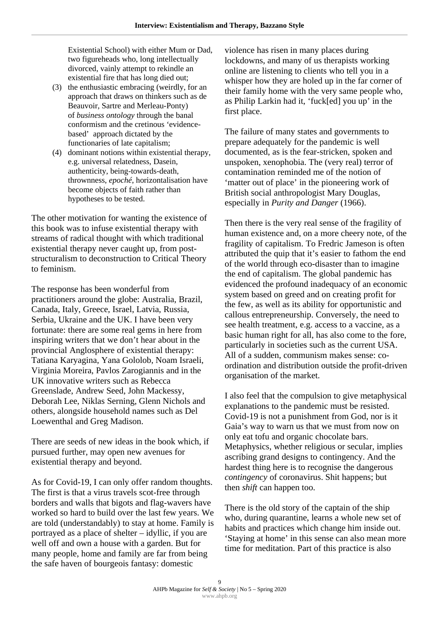Existential School) with either Mum or Dad, two figureheads who, long intellectually divorced, vainly attempt to rekindle an existential fire that has long died out;

- (3) the enthusiastic embracing (weirdly, for an approach that draws on thinkers such as de Beauvoir, Sartre and Merleau-Ponty) of *business ontology* through the banal conformism and the cretinous 'evidencebased' approach dictated by the functionaries of late capitalism;
- (4) dominant notions within existential therapy, e.g. universal relatedness, Dasein, authenticity, being-towards-death, thrownness, *epoché*, horizontalisation have become objects of faith rather than hypotheses to be tested.

The other motivation for wanting the existence of this book was to infuse existential therapy with streams of radical thought with which traditional existential therapy never caught up, from poststructuralism to deconstruction to Critical Theory to feminism.

The response has been wonderful from practitioners around the globe: Australia, Brazil, Canada, Italy, Greece, Israel, Latvia, Russia, Serbia, Ukraine and the UK. I have been very fortunate: there are some real gems in here from inspiring writers that we don't hear about in the provincial Anglosphere of existential therapy: Tatiana Karyagina, Yana Gololob, Noam Israeli, Virginia Moreira, Pavlos Zarogiannis and in the UK innovative writers such as Rebecca Greenslade, Andrew Seed, John Mackessy, Deborah Lee, Niklas Serning, Glenn Nichols and others, alongside household names such as Del Loewenthal and Greg Madison.

There are seeds of new ideas in the book which, if pursued further, may open new avenues for existential therapy and beyond.

As for Covid-19, I can only offer random thoughts. The first is that a virus travels scot-free through borders and walls that bigots and flag-wavers have worked so hard to build over the last few years. We are told (understandably) to stay at home. Family is portrayed as a place of shelter – idyllic, if you are well off and own a house with a garden. But for many people, home and family are far from being the safe haven of bourgeois fantasy: domestic

violence has risen in many places during lockdowns, and many of us therapists working online are listening to clients who tell you in a whisper how they are holed up in the far corner of their family home with the very same people who, as Philip Larkin had it, 'fuck[ed] you up' in the first place.

The failure of many states and governments to prepare adequately for the pandemic is well documented, as is the fear-stricken, spoken and unspoken, xenophobia. The (very real) terror of contamination reminded me of the notion of 'matter out of place' in the pioneering work of British social anthropologist Mary Douglas, especially in *Purity and Danger* (1966).

Then there is the very real sense of the fragility of human existence and, on a more cheery note, of the fragility of capitalism. To Fredric Jameson is often attributed the quip that it's easier to fathom the end of the world through eco-disaster than to imagine the end of capitalism. The global pandemic has evidenced the profound inadequacy of an economic system based on greed and on creating profit for the few, as well as its ability for opportunistic and callous entrepreneurship. Conversely, the need to see health treatment, e.g. access to a vaccine, as a basic human right for all, has also come to the fore, particularly in societies such as the current USA. All of a sudden, communism makes sense: coordination and distribution outside the profit-driven organisation of the market.

I also feel that the compulsion to give metaphysical explanations to the pandemic must be resisted. Covid-19 is not a punishment from God, nor is it Gaia's way to warn us that we must from now on only eat tofu and organic chocolate bars. Metaphysics, whether religious or secular, implies ascribing grand designs to contingency. And the hardest thing here is to recognise the dangerous *contingency* of coronavirus. Shit happens; but then *shift* can happen too.

There is the old story of the captain of the ship who, during quarantine, learns a whole new set of habits and practices which change him inside out. 'Staying at home' in this sense can also mean more time for meditation. Part of this practice is also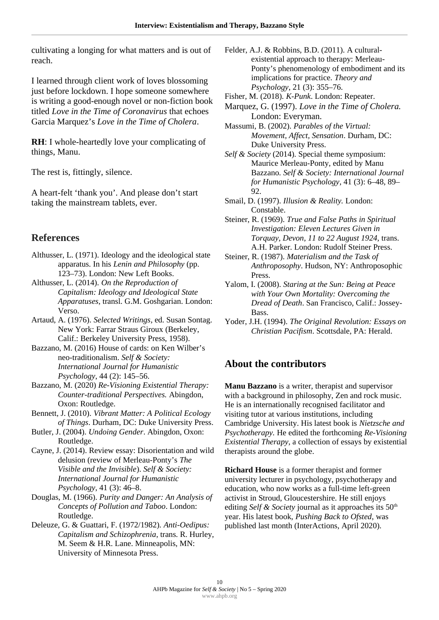cultivating a longing for what matters and is out of reach.

I learned through client work of loves blossoming just before lockdown. I hope someone somewhere is writing a good-enough novel or non-fiction book titled *Love in the Time of Coronavirus* that echoes Garcia Marquez's *Love in the Time of Cholera*.

**RH:** I whole-heartedly love your complicating of things, Manu.

The rest is, fittingly, silence.

A heart-felt 'thank you'. And please don't start taking the mainstream tablets, ever.

#### **References**

- Althusser, L. (1971). Ideology and the ideological state apparatus. In his *Lenin and Philosophy* (pp. 123–73). London: New Left Books.
- Althusser, L. (2014). *On the Reproduction of Capitalism: Ideology and Ideological State Apparatuses*, transl. G.M. Goshgarian. London: Verso.
- Artaud, A. (1976). *Selected Writings*, ed. Susan Sontag. New York: Farrar Straus Giroux (Berkeley, Calif.: Berkeley University Press, 1958).
- Bazzano, M. (2016) House of cards: on Ken Wilber's neo-traditionalism. *Self & Society: International Journal for Humanistic Psychology*, 44 (2): 145–56.
- Bazzano, M. (2020) *Re-Visioning Existential Therapy: Counter-traditional Perspectives.* Abingdon, Oxon: Routledge.
- Bennett, J. (2010). *Vibrant Matter: A Political Ecology of Things*. Durham, DC: Duke University Press.
- Butler, J. (2004). *Undoing Gender*. Abingdon, Oxon: Routledge.
- Cayne, J. (2014). Review essay: Disorientation and wild delusion (review of Merleau-Ponty's *The Visible and the Invisible*). *Self & Society: International Journal for Humanistic Psychology*, 41 (3): 46–8.
- Douglas, M. (1966). *Purity and Danger: An Analysis of Concepts of Pollution and Taboo*. London: Routledge.
- Deleuze, G. & Guattari, F. (1972/1982). *Anti-Oedipus: Capitalism and Schizophrenia*, trans. R. Hurley, M. Seem & H.R. Lane. Minneapolis, MN: University of Minnesota Press.
- Felder, A.J. & Robbins, B.D. (2011). A culturalexistential approach to therapy: Merleau-Ponty's phenomenology of embodiment and its implications for practice. *Theory and Psychology*, 21 (3): 355–76.
- Fisher, M. (2018). *K-Punk*. London: Repeater.
- Marquez, G. (1997). *Love in the Time of Cholera.*  London: Everyman.

Massumi, B. (2002). *Parables of the Virtual: Movement, Affect, Sensation*. Durham, DC: Duke University Press.

*Self & Society* (2014). Special theme symposium: Maurice Merleau-Ponty, edited by Manu Bazzano. *Self & Society: International Journal for Humanistic Psychology*, 41 (3): 6–48, 89– 92.

- Smail, D. (1997). *Illusion & Reality.* London: Constable.
- Steiner, R. (1969). *True and False Paths in Spiritual Investigation: Eleven Lectures Given in Torquay, Devon, 11 to 22 August 1924,* trans. A.H. Parker. London: Rudolf Steiner Press.
- Steiner, R. (1987). *Materialism and the Task of Anthroposophy*. Hudson, NY: Anthroposophic Press.
- Yalom, I. (2008). *Staring at the Sun: Being at Peace with Your Own Mortality: Overcoming the Dread of Death*. San Francisco, Calif.: Jossey-Bass.
- Yoder, J.H. (1994). *The Original Revolution: Essays on Christian Pacifism*. Scottsdale, PA: Herald.

### **About the contributors**

**Manu Bazzano** is a writer, therapist and supervisor with a background in philosophy, Zen and rock music. He is an internationally recognised facilitator and visiting tutor at various institutions, including Cambridge University. His latest book is *Nietzsche and Psychotherapy.* He edited the forthcoming *Re-Visioning Existential Therapy*, a collection of essays by existential therapists around the globe.

**Richard House** is a former therapist and former university lecturer in psychology, psychotherapy and education, who now works as a full-time left-green activist in Stroud, Gloucestershire. He still enjoys editing *Self & Society* journal as it approaches its 50<sup>th</sup> year. His latest book, *Pushing Back to Ofsted*, was published last month (InterActions, April 2020).